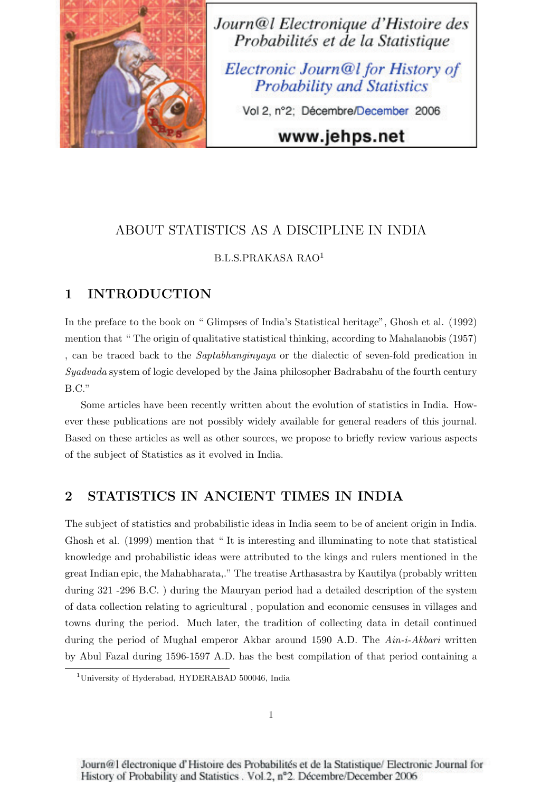

Journ@l Electronique d'Histoire des Probabilités et de la Statistique

Electronic Journ@l for History of **Probability and Statistics** 

Vol 2, n°2; Décembre/December 2006

# www.jehps.net

## ABOUT STATISTICS AS A DISCIPLINE IN INDIA

#### B.L.S.PRAKASA RAO<sup>1</sup>

## 1 INTRODUCTION

In the preface to the book on " Glimpses of India's Statistical heritage", Ghosh et al. (1992) mention that " The origin of qualitative statistical thinking, according to Mahalanobis (1957) , can be traced back to the *Saptabhanginyaya* or the dialectic of seven-fold predication in *Syadvada* system of logic developed by the Jaina philosopher Badrabahu of the fourth century B.C."

Some articles have been recently written about the evolution of statistics in India. However these publications are not possibly widely available for general readers of this journal. Based on these articles as well as other sources, we propose to briefly review various aspects of the subject of Statistics as it evolved in India.

### 2 STATISTICS IN ANCIENT TIMES IN INDIA

The subject of statistics and probabilistic ideas in India seem to be of ancient origin in India. Ghosh et al. (1999) mention that " It is interesting and illuminating to note that statistical knowledge and probabilistic ideas were attributed to the kings and rulers mentioned in the great Indian epic, the Mahabharata,." The treatise Arthasastra by Kautilya (probably written during 321 -296 B.C. ) during the Mauryan period had a detailed description of the system of data collection relating to agricultural , population and economic censuses in villages and towns during the period. Much later, the tradition of collecting data in detail continued during the period of Mughal emperor Akbar around 1590 A.D. The *Ain-i-Akbari* written by Abul Fazal during 1596-1597 A.D. has the best compilation of that period containing a

<sup>&</sup>lt;sup>1</sup>University of Hyderabad, HYDERABAD 500046, India

Journ@1 électronique d'Histoire des Probabilités et de la Statistique/Electronic Journal for History of Probability and Statistics . Vol.2, nº2. Décembre/December 2006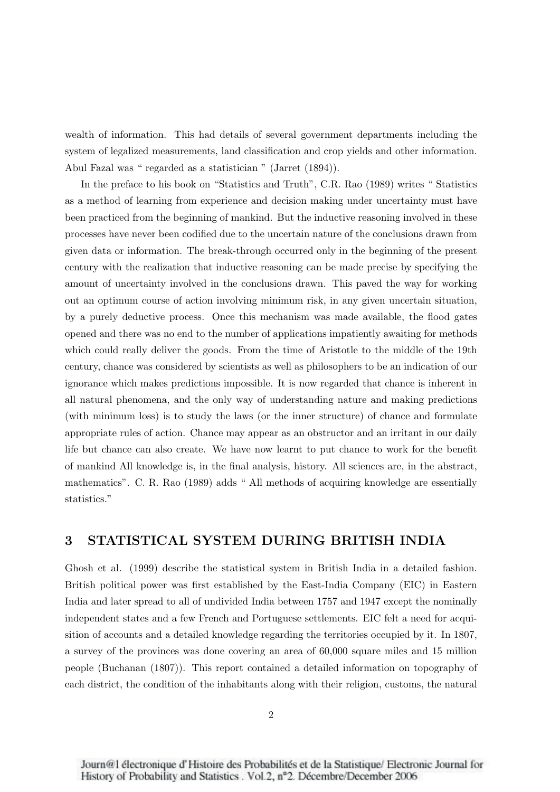wealth of information. This had details of several government departments including the system of legalized measurements, land classification and crop yields and other information. Abul Fazal was " regarded as a statistician " (Jarret (1894)).

In the preface to his book on "Statistics and Truth", C.R. Rao (1989) writes " Statistics as a method of learning from experience and decision making under uncertainty must have been practiced from the beginning of mankind. But the inductive reasoning involved in these processes have never been codified due to the uncertain nature of the conclusions drawn from given data or information. The break-through occurred only in the beginning of the present century with the realization that inductive reasoning can be made precise by specifying the amount of uncertainty involved in the conclusions drawn. This paved the way for working out an optimum course of action involving minimum risk, in any given uncertain situation, by a purely deductive process. Once this mechanism was made available, the flood gates opened and there was no end to the number of applications impatiently awaiting for methods which could really deliver the goods. From the time of Aristotle to the middle of the 19th century, chance was considered by scientists as well as philosophers to be an indication of our ignorance which makes predictions impossible. It is now regarded that chance is inherent in all natural phenomena, and the only way of understanding nature and making predictions (with minimum loss) is to study the laws (or the inner structure) of chance and formulate appropriate rules of action. Chance may appear as an obstructor and an irritant in our daily life but chance can also create. We have now learnt to put chance to work for the benefit of mankind All knowledge is, in the final analysis, history. All sciences are, in the abstract, mathematics". C. R. Rao (1989) adds " All methods of acquiring knowledge are essentially statistics."

### 3 STATISTICAL SYSTEM DURING BRITISH INDIA

Ghosh et al. (1999) describe the statistical system in British India in a detailed fashion. British political power was first established by the East-India Company (EIC) in Eastern India and later spread to all of undivided India between 1757 and 1947 except the nominally independent states and a few French and Portuguese settlements. EIC felt a need for acquisition of accounts and a detailed knowledge regarding the territories occupied by it. In 1807, a survey of the provinces was done covering an area of 60,000 square miles and 15 million people (Buchanan (1807)). This report contained a detailed information on topography of each district, the condition of the inhabitants along with their religion, customs, the natural

Journ@1 électronique d'Histoire des Probabilités et de la Statistique/Electronic Journal for History of Probability and Statistics . Vol.2, nº2. Décembre/December 2006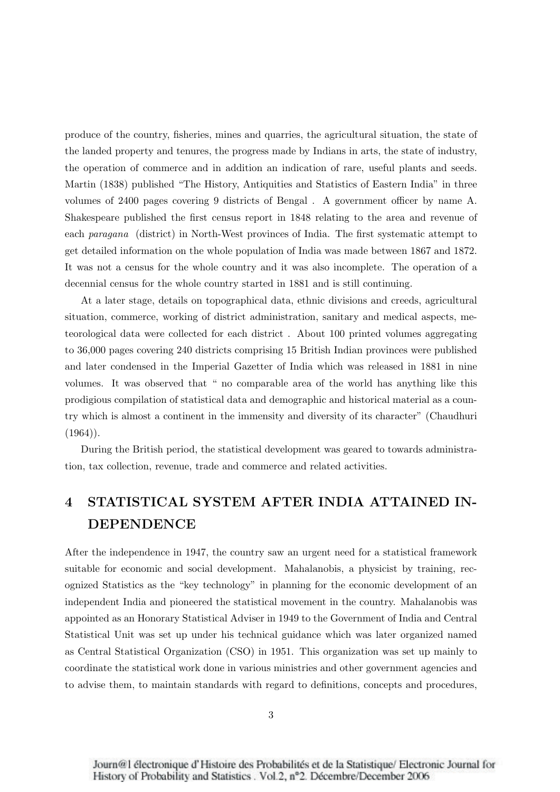produce of the country, fisheries, mines and quarries, the agricultural situation, the state of the landed property and tenures, the progress made by Indians in arts, the state of industry, the operation of commerce and in addition an indication of rare, useful plants and seeds. Martin (1838) published "The History, Antiquities and Statistics of Eastern India" in three volumes of 2400 pages covering 9 districts of Bengal . A government officer by name A. Shakespeare published the first census report in 1848 relating to the area and revenue of each *paragana* (district) in North-West provinces of India. The first systematic attempt to get detailed information on the whole population of India was made between 1867 and 1872. It was not a census for the whole country and it was also incomplete. The operation of a decennial census for the whole country started in 1881 and is still continuing.

At a later stage, details on topographical data, ethnic divisions and creeds, agricultural situation, commerce, working of district administration, sanitary and medical aspects, meteorological data were collected for each district . About 100 printed volumes aggregating to 36,000 pages covering 240 districts comprising 15 British Indian provinces were published and later condensed in the Imperial Gazetter of India which was released in 1881 in nine volumes. It was observed that " no comparable area of the world has anything like this prodigious compilation of statistical data and demographic and historical material as a country which is almost a continent in the immensity and diversity of its character" (Chaudhuri  $(1964)$ .

During the British period, the statistical development was geared to towards administration, tax collection, revenue, trade and commerce and related activities.

# 4 STATISTICAL SYSTEM AFTER INDIA ATTAINED IN-DEPENDENCE

After the independence in 1947, the country saw an urgent need for a statistical framework suitable for economic and social development. Mahalanobis, a physicist by training, recognized Statistics as the "key technology" in planning for the economic development of an independent India and pioneered the statistical movement in the country. Mahalanobis was appointed as an Honorary Statistical Adviser in 1949 to the Government of India and Central Statistical Unit was set up under his technical guidance which was later organized named as Central Statistical Organization (CSO) in 1951. This organization was set up mainly to coordinate the statistical work done in various ministries and other government agencies and to advise them, to maintain standards with regard to definitions, concepts and procedures,

Journ@1 électronique d'Histoire des Probabilités et de la Statistique/Electronic Journal for History of Probability and Statistics . Vol.2, nº2. Décembre/December 2006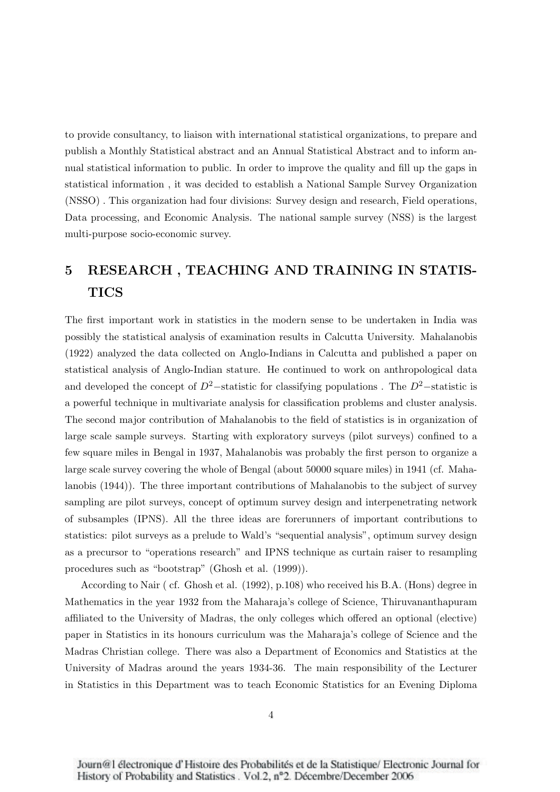to provide consultancy, to liaison with international statistical organizations, to prepare and publish a Monthly Statistical abstract and an Annual Statistical Abstract and to inform annual statistical information to public. In order to improve the quality and fill up the gaps in statistical information , it was decided to establish a National Sample Survey Organization (NSSO) . This organization had four divisions: Survey design and research, Field operations, Data processing, and Economic Analysis. The national sample survey (NSS) is the largest multi-purpose socio-economic survey.

# 5 RESEARCH , TEACHING AND TRAINING IN STATIS-TICS

The first important work in statistics in the modern sense to be undertaken in India was possibly the statistical analysis of examination results in Calcutta University. Mahalanobis (1922) analyzed the data collected on Anglo-Indians in Calcutta and published a paper on statistical analysis of Anglo-Indian stature. He continued to work on anthropological data and developed the concept of  $D^2$ −statistic for classifying populations. The  $D^2$ −statistic is a powerful technique in multivariate analysis for classification problems and cluster analysis. The second major contribution of Mahalanobis to the field of statistics is in organization of large scale sample surveys. Starting with exploratory surveys (pilot surveys) confined to a few square miles in Bengal in 1937, Mahalanobis was probably the first person to organize a large scale survey covering the whole of Bengal (about 50000 square miles) in 1941 (cf. Mahalanobis (1944)). The three important contributions of Mahalanobis to the subject of survey sampling are pilot surveys, concept of optimum survey design and interpenetrating network of subsamples (IPNS). All the three ideas are forerunners of important contributions to statistics: pilot surveys as a prelude to Wald's "sequential analysis", optimum survey design as a precursor to "operations research" and IPNS technique as curtain raiser to resampling procedures such as "bootstrap" (Ghosh et al. (1999)).

According to Nair ( cf. Ghosh et al. (1992), p.108) who received his B.A. (Hons) degree in Mathematics in the year 1932 from the Maharaja's college of Science, Thiruvananthapuram affiliated to the University of Madras, the only colleges which offered an optional (elective) paper in Statistics in its honours curriculum was the Maharaja's college of Science and the Madras Christian college. There was also a Department of Economics and Statistics at the University of Madras around the years 1934-36. The main responsibility of the Lecturer in Statistics in this Department was to teach Economic Statistics for an Evening Diploma

Journ@1 électronique d'Histoire des Probabilités et de la Statistique/Electronic Journal for History of Probability and Statistics . Vol.2, nº2. Décembre/December 2006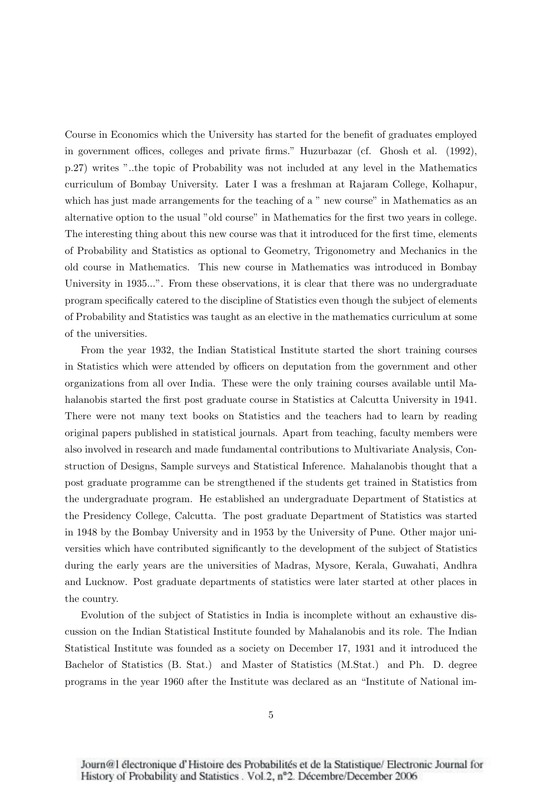Course in Economics which the University has started for the benefit of graduates employed in government offices, colleges and private firms." Huzurbazar (cf. Ghosh et al. (1992), p.27) writes "..the topic of Probability was not included at any level in the Mathematics curriculum of Bombay University. Later I was a freshman at Rajaram College, Kolhapur, which has just made arrangements for the teaching of a " new course" in Mathematics as an alternative option to the usual "old course" in Mathematics for the first two years in college. The interesting thing about this new course was that it introduced for the first time, elements of Probability and Statistics as optional to Geometry, Trigonometry and Mechanics in the old course in Mathematics. This new course in Mathematics was introduced in Bombay University in 1935...". From these observations, it is clear that there was no undergraduate program specifically catered to the discipline of Statistics even though the subject of elements of Probability and Statistics was taught as an elective in the mathematics curriculum at some of the universities.

From the year 1932, the Indian Statistical Institute started the short training courses in Statistics which were attended by officers on deputation from the government and other organizations from all over India. These were the only training courses available until Mahalanobis started the first post graduate course in Statistics at Calcutta University in 1941. There were not many text books on Statistics and the teachers had to learn by reading original papers published in statistical journals. Apart from teaching, faculty members were also involved in research and made fundamental contributions to Multivariate Analysis, Construction of Designs, Sample surveys and Statistical Inference. Mahalanobis thought that a post graduate programme can be strengthened if the students get trained in Statistics from the undergraduate program. He established an undergraduate Department of Statistics at the Presidency College, Calcutta. The post graduate Department of Statistics was started in 1948 by the Bombay University and in 1953 by the University of Pune. Other major universities which have contributed significantly to the development of the subject of Statistics during the early years are the universities of Madras, Mysore, Kerala, Guwahati, Andhra and Lucknow. Post graduate departments of statistics were later started at other places in the country.

Evolution of the subject of Statistics in India is incomplete without an exhaustive discussion on the Indian Statistical Institute founded by Mahalanobis and its role. The Indian Statistical Institute was founded as a society on December 17, 1931 and it introduced the Bachelor of Statistics (B. Stat.) and Master of Statistics (M.Stat.) and Ph. D. degree programs in the year 1960 after the Institute was declared as an "Institute of National im-

Journ@1 électronique d'Histoire des Probabilités et de la Statistique/Electronic Journal for History of Probability and Statistics . Vol.2, nº2. Décembre/December 2006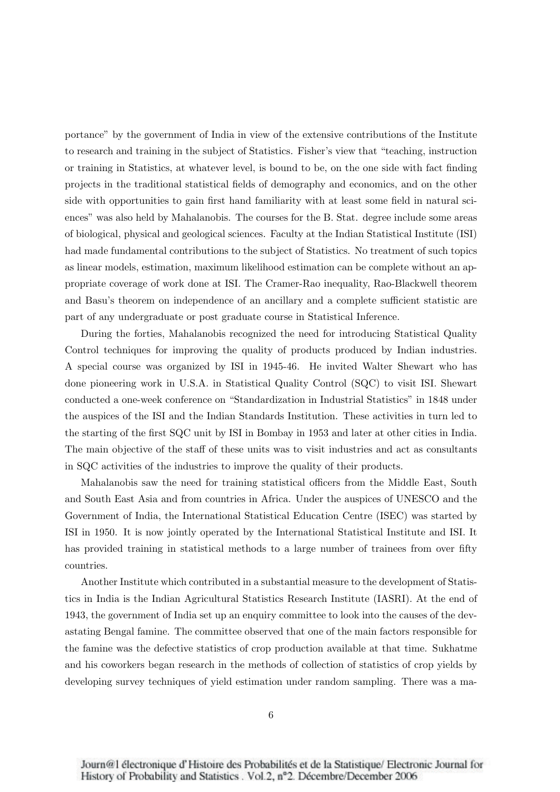portance" by the government of India in view of the extensive contributions of the Institute to research and training in the subject of Statistics. Fisher's view that "teaching, instruction or training in Statistics, at whatever level, is bound to be, on the one side with fact finding projects in the traditional statistical fields of demography and economics, and on the other side with opportunities to gain first hand familiarity with at least some field in natural sciences" was also held by Mahalanobis. The courses for the B. Stat. degree include some areas of biological, physical and geological sciences. Faculty at the Indian Statistical Institute (ISI) had made fundamental contributions to the subject of Statistics. No treatment of such topics as linear models, estimation, maximum likelihood estimation can be complete without an appropriate coverage of work done at ISI. The Cramer-Rao inequality, Rao-Blackwell theorem and Basu's theorem on independence of an ancillary and a complete sufficient statistic are part of any undergraduate or post graduate course in Statistical Inference.

During the forties, Mahalanobis recognized the need for introducing Statistical Quality Control techniques for improving the quality of products produced by Indian industries. A special course was organized by ISI in 1945-46. He invited Walter Shewart who has done pioneering work in U.S.A. in Statistical Quality Control (SQC) to visit ISI. Shewart conducted a one-week conference on "Standardization in Industrial Statistics" in 1848 under the auspices of the ISI and the Indian Standards Institution. These activities in turn led to the starting of the first SQC unit by ISI in Bombay in 1953 and later at other cities in India. The main objective of the staff of these units was to visit industries and act as consultants in SQC activities of the industries to improve the quality of their products.

Mahalanobis saw the need for training statistical officers from the Middle East, South and South East Asia and from countries in Africa. Under the auspices of UNESCO and the Government of India, the International Statistical Education Centre (ISEC) was started by ISI in 1950. It is now jointly operated by the International Statistical Institute and ISI. It has provided training in statistical methods to a large number of trainees from over fifty countries.

Another Institute which contributed in a substantial measure to the development of Statistics in India is the Indian Agricultural Statistics Research Institute (IASRI). At the end of 1943, the government of India set up an enquiry committee to look into the causes of the devastating Bengal famine. The committee observed that one of the main factors responsible for the famine was the defective statistics of crop production available at that time. Sukhatme and his coworkers began research in the methods of collection of statistics of crop yields by developing survey techniques of yield estimation under random sampling. There was a ma-

Journ@1 électronique d'Histoire des Probabilités et de la Statistique/Electronic Journal for History of Probability and Statistics . Vol.2, nº2. Décembre/December 2006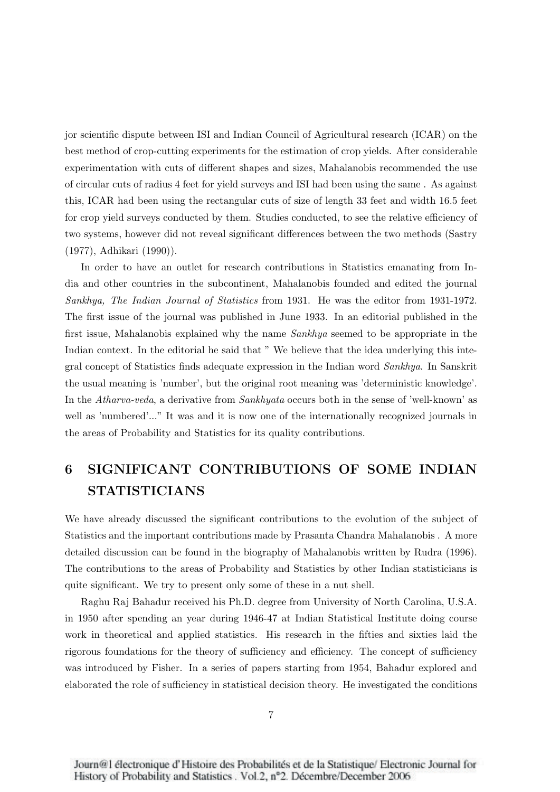jor scientific dispute between ISI and Indian Council of Agricultural research (ICAR) on the best method of crop-cutting experiments for the estimation of crop yields. After considerable experimentation with cuts of different shapes and sizes, Mahalanobis recommended the use of circular cuts of radius 4 feet for yield surveys and ISI had been using the same . As against this, ICAR had been using the rectangular cuts of size of length 33 feet and width 16.5 feet for crop yield surveys conducted by them. Studies conducted, to see the relative efficiency of two systems, however did not reveal significant differences between the two methods (Sastry (1977), Adhikari (1990)).

In order to have an outlet for research contributions in Statistics emanating from India and other countries in the subcontinent, Mahalanobis founded and edited the journal *Sankhya, The Indian Journal of Statistics* from 1931. He was the editor from 1931-1972. The first issue of the journal was published in June 1933. In an editorial published in the first issue, Mahalanobis explained why the name *Sankhya* seemed to be appropriate in the Indian context. In the editorial he said that " We believe that the idea underlying this integral concept of Statistics finds adequate expression in the Indian word *Sankhya*. In Sanskrit the usual meaning is 'number', but the original root meaning was 'deterministic knowledge'. In the *Atharva-veda*, a derivative from *Sankhyata* occurs both in the sense of 'well-known' as well as 'numbered'..." It was and it is now one of the internationally recognized journals in the areas of Probability and Statistics for its quality contributions.

# 6 SIGNIFICANT CONTRIBUTIONS OF SOME INDIAN STATISTICIANS

We have already discussed the significant contributions to the evolution of the subject of Statistics and the important contributions made by Prasanta Chandra Mahalanobis . A more detailed discussion can be found in the biography of Mahalanobis written by Rudra (1996). The contributions to the areas of Probability and Statistics by other Indian statisticians is quite significant. We try to present only some of these in a nut shell.

Raghu Raj Bahadur received his Ph.D. degree from University of North Carolina, U.S.A. in 1950 after spending an year during 1946-47 at Indian Statistical Institute doing course work in theoretical and applied statistics. His research in the fifties and sixties laid the rigorous foundations for the theory of sufficiency and efficiency. The concept of sufficiency was introduced by Fisher. In a series of papers starting from 1954, Bahadur explored and elaborated the role of sufficiency in statistical decision theory. He investigated the conditions

Journ@1 électronique d'Histoire des Probabilités et de la Statistique/Electronic Journal for History of Probability and Statistics . Vol.2, nº2. Décembre/December 2006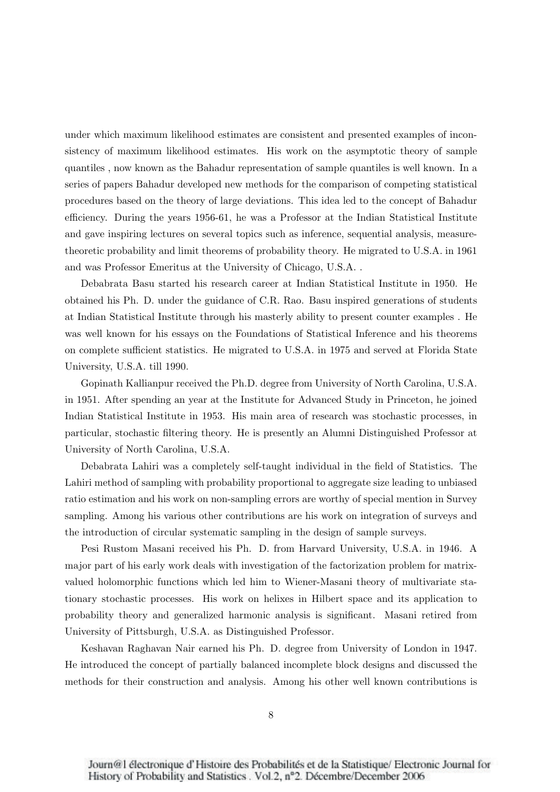under which maximum likelihood estimates are consistent and presented examples of inconsistency of maximum likelihood estimates. His work on the asymptotic theory of sample quantiles , now known as the Bahadur representation of sample quantiles is well known. In a series of papers Bahadur developed new methods for the comparison of competing statistical procedures based on the theory of large deviations. This idea led to the concept of Bahadur efficiency. During the years 1956-61, he was a Professor at the Indian Statistical Institute and gave inspiring lectures on several topics such as inference, sequential analysis, measuretheoretic probability and limit theorems of probability theory. He migrated to U.S.A. in 1961 and was Professor Emeritus at the University of Chicago, U.S.A. .

Debabrata Basu started his research career at Indian Statistical Institute in 1950. He obtained his Ph. D. under the guidance of C.R. Rao. Basu inspired generations of students at Indian Statistical Institute through his masterly ability to present counter examples . He was well known for his essays on the Foundations of Statistical Inference and his theorems on complete sufficient statistics. He migrated to U.S.A. in 1975 and served at Florida State University, U.S.A. till 1990.

Gopinath Kallianpur received the Ph.D. degree from University of North Carolina, U.S.A. in 1951. After spending an year at the Institute for Advanced Study in Princeton, he joined Indian Statistical Institute in 1953. His main area of research was stochastic processes, in particular, stochastic filtering theory. He is presently an Alumni Distinguished Professor at University of North Carolina, U.S.A.

Debabrata Lahiri was a completely self-taught individual in the field of Statistics. The Lahiri method of sampling with probability proportional to aggregate size leading to unbiased ratio estimation and his work on non-sampling errors are worthy of special mention in Survey sampling. Among his various other contributions are his work on integration of surveys and the introduction of circular systematic sampling in the design of sample surveys.

Pesi Rustom Masani received his Ph. D. from Harvard University, U.S.A. in 1946. A major part of his early work deals with investigation of the factorization problem for matrixvalued holomorphic functions which led him to Wiener-Masani theory of multivariate stationary stochastic processes. His work on helixes in Hilbert space and its application to probability theory and generalized harmonic analysis is significant. Masani retired from University of Pittsburgh, U.S.A. as Distinguished Professor.

Keshavan Raghavan Nair earned his Ph. D. degree from University of London in 1947. He introduced the concept of partially balanced incomplete block designs and discussed the methods for their construction and analysis. Among his other well known contributions is

Journ@1 électronique d'Histoire des Probabilités et de la Statistique/Electronic Journal for History of Probability and Statistics . Vol.2, nº2. Décembre/December 2006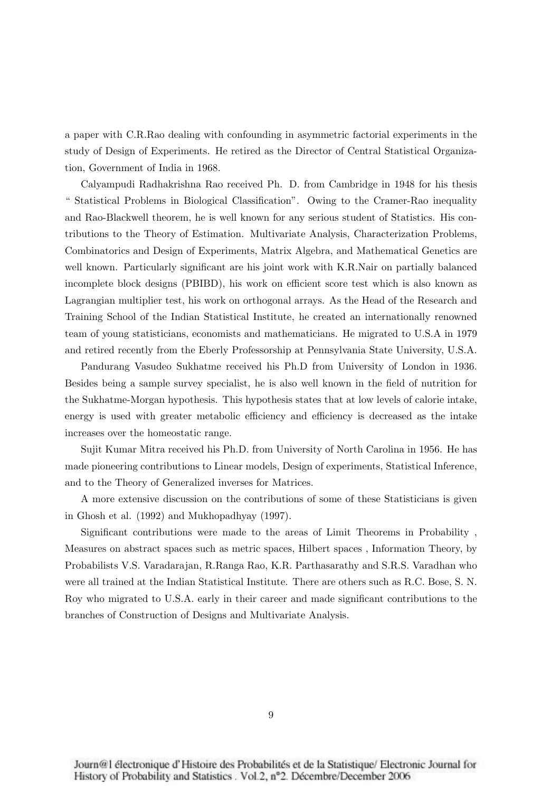a paper with C.R.Rao dealing with confounding in asymmetric factorial experiments in the study of Design of Experiments. He retired as the Director of Central Statistical Organization, Government of India in 1968.

Calyampudi Radhakrishna Rao received Ph. D. from Cambridge in 1948 for his thesis " Statistical Problems in Biological Classification". Owing to the Cramer-Rao inequality and Rao-Blackwell theorem, he is well known for any serious student of Statistics. His contributions to the Theory of Estimation. Multivariate Analysis, Characterization Problems, Combinatorics and Design of Experiments, Matrix Algebra, and Mathematical Genetics are well known. Particularly significant are his joint work with K.R.Nair on partially balanced incomplete block designs (PBIBD), his work on efficient score test which is also known as Lagrangian multiplier test, his work on orthogonal arrays. As the Head of the Research and Training School of the Indian Statistical Institute, he created an internationally renowned team of young statisticians, economists and mathematicians. He migrated to U.S.A in 1979 and retired recently from the Eberly Professorship at Pennsylvania State University, U.S.A.

Pandurang Vasudeo Sukhatme received his Ph.D from University of London in 1936. Besides being a sample survey specialist, he is also well known in the field of nutrition for the Sukhatme-Morgan hypothesis. This hypothesis states that at low levels of calorie intake, energy is used with greater metabolic efficiency and efficiency is decreased as the intake increases over the homeostatic range.

Sujit Kumar Mitra received his Ph.D. from University of North Carolina in 1956. He has made pioneering contributions to Linear models, Design of experiments, Statistical Inference, and to the Theory of Generalized inverses for Matrices.

A more extensive discussion on the contributions of some of these Statisticians is given in Ghosh et al. (1992) and Mukhopadhyay (1997).

Significant contributions were made to the areas of Limit Theorems in Probability , Measures on abstract spaces such as metric spaces, Hilbert spaces , Information Theory, by Probabilists V.S. Varadarajan, R.Ranga Rao, K.R. Parthasarathy and S.R.S. Varadhan who were all trained at the Indian Statistical Institute. There are others such as R.C. Bose, S. N. Roy who migrated to U.S.A. early in their career and made significant contributions to the branches of Construction of Designs and Multivariate Analysis.

Journ@1 électronique d'Histoire des Probabilités et de la Statistique/Electronic Journal for History of Probability and Statistics . Vol.2, nº2. Décembre/December 2006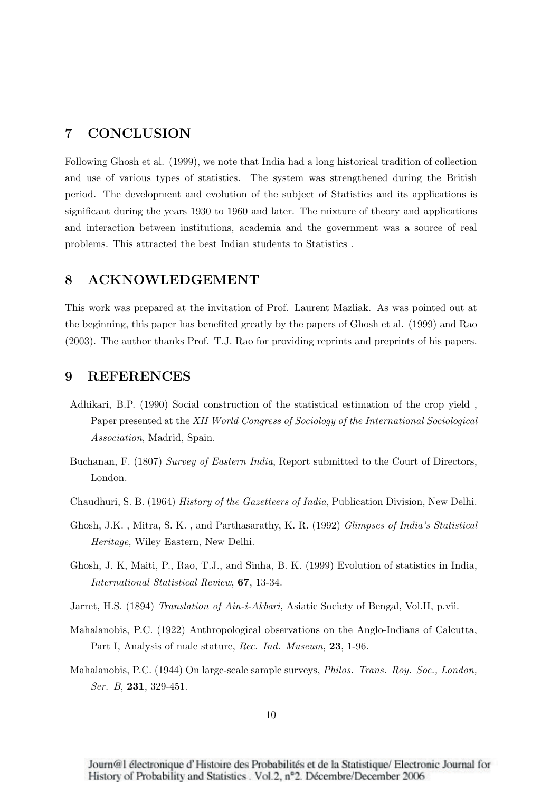#### 7 CONCLUSION

Following Ghosh et al. (1999), we note that India had a long historical tradition of collection and use of various types of statistics. The system was strengthened during the British period. The development and evolution of the subject of Statistics and its applications is significant during the years 1930 to 1960 and later. The mixture of theory and applications and interaction between institutions, academia and the government was a source of real problems. This attracted the best Indian students to Statistics .

#### 8 ACKNOWLEDGEMENT

This work was prepared at the invitation of Prof. Laurent Mazliak. As was pointed out at the beginning, this paper has benefited greatly by the papers of Ghosh et al. (1999) and Rao (2003). The author thanks Prof. T.J. Rao for providing reprints and preprints of his papers.

#### 9 REFERENCES

- Adhikari, B.P. (1990) Social construction of the statistical estimation of the crop yield , Paper presented at the *XII World Congress of Sociology of the International Sociological Association*, Madrid, Spain.
- Buchanan, F. (1807) *Survey of Eastern India*, Report submitted to the Court of Directors, London.
- Chaudhuri, S. B. (1964) *History of the Gazetteers of India*, Publication Division, New Delhi.
- Ghosh, J.K. , Mitra, S. K. , and Parthasarathy, K. R. (1992) *Glimpses of India's Statistical Heritage*, Wiley Eastern, New Delhi.
- Ghosh, J. K, Maiti, P., Rao, T.J., and Sinha, B. K. (1999) Evolution of statistics in India, *International Statistical Review*, 67, 13-34.
- Jarret, H.S. (1894) *Translation of Ain-i-Akbari*, Asiatic Society of Bengal, Vol.II, p.vii.
- Mahalanobis, P.C. (1922) Anthropological observations on the Anglo-Indians of Calcutta, Part I, Analysis of male stature, *Rec. Ind. Museum*, 23, 1-96.
- Mahalanobis, P.C. (1944) On large-scale sample surveys, *Philos. Trans. Roy. Soc., London, Ser. B*, 231, 329-451.

Journ@1 électronique d'Histoire des Probabilités et de la Statistique/Electronic Journal for History of Probability and Statistics . Vol.2, nº2. Décembre/December 2006